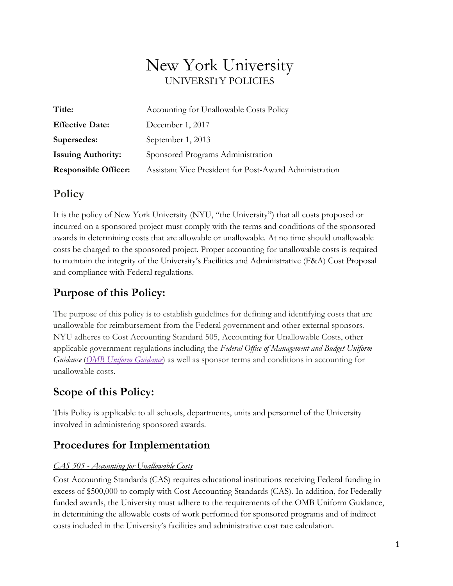# New York University UNIVERSITY POLICIES

| Title:                      | Accounting for Unallowable Costs Policy                |  |
|-----------------------------|--------------------------------------------------------|--|
| <b>Effective Date:</b>      | December 1, 2017                                       |  |
| Supersedes:                 | September 1, 2013                                      |  |
| <b>Issuing Authority:</b>   | Sponsored Programs Administration                      |  |
| <b>Responsible Officer:</b> | Assistant Vice President for Post-Award Administration |  |

### **Policy**

It is the policy of New York University (NYU, "the University") that all costs proposed or incurred on a sponsored project must comply with the terms and conditions of the sponsored awards in determining costs that are allowable or unallowable. At no time should unallowable costs be charged to the sponsored project. Proper accounting for unallowable costs is required to maintain the integrity of the University's Facilities and Administrative (F&A) Cost Proposal and compliance with Federal regulations.

# **Purpose of this Policy:**

The purpose of this policy is to establish guidelines for defining and identifying costs that are unallowable for reimbursement from the Federal government and other external sponsors. NYU adheres to Cost Accounting Standard 505, Accounting for Unallowable Costs, other applicable government regulations including the *Federal Office of Management and Budget Uniform Guidance* (*[OMB Uniform Guidance](https://www.ecfr.gov/cgi-bin/text-idx?tpl=/ecfrbrowse/Title02/2cfr200_main_02.tpl)*) as well as sponsor terms and conditions in accounting for unallowable costs.

## **Scope of this Policy:**

This Policy is applicable to all schools, departments, units and personnel of the University involved in administering sponsored awards.

# **Procedures for Implementation**

#### *CAS 505 - Accounting for Unallowable Costs*

Cost Accounting Standards (CAS) requires educational institutions receiving Federal funding in excess of \$500,000 to comply with Cost Accounting Standards (CAS). In addition, for Federally funded awards, the University must adhere to the requirements of the OMB Uniform Guidance, in determining the allowable costs of work performed for sponsored programs and of indirect costs included in the University's facilities and administrative cost rate calculation.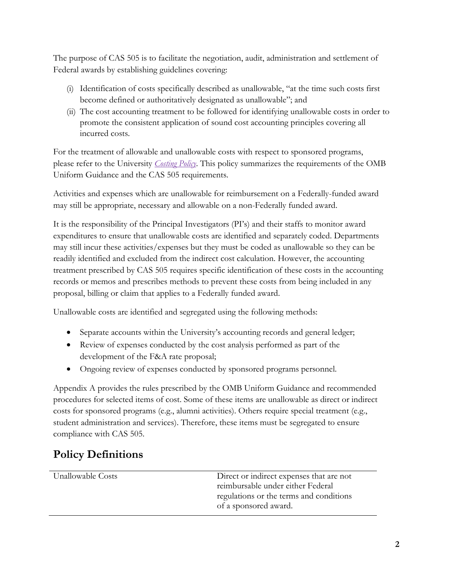The purpose of CAS 505 is to facilitate the negotiation, audit, administration and settlement of Federal awards by establishing guidelines covering:

- (i) Identification of costs specifically described as unallowable, "at the time such costs first become defined or authoritatively designated as unallowable"; and
- (ii) The cost accounting treatment to be followed for identifying unallowable costs in order to promote the consistent application of sound cost accounting principles covering all incurred costs.

For the treatment of allowable and unallowable costs with respect to sponsored programs, please refer to the University *[Costing Policy](http://www.nyu.edu/about/policies-guidelines-compliance/policies-and-guidelines/costing-policy.html)*. This policy summarizes the requirements of the OMB Uniform Guidance and the CAS 505 requirements.

Activities and expenses which are unallowable for reimbursement on a Federally-funded award may still be appropriate, necessary and allowable on a non-Federally funded award.

It is the responsibility of the Principal Investigators (PI's) and their staffs to monitor award expenditures to ensure that unallowable costs are identified and separately coded. Departments may still incur these activities/expenses but they must be coded as unallowable so they can be readily identified and excluded from the indirect cost calculation. However, the accounting treatment prescribed by CAS 505 requires specific identification of these costs in the accounting records or memos and prescribes methods to prevent these costs from being included in any proposal, billing or claim that applies to a Federally funded award.

Unallowable costs are identified and segregated using the following methods:

- Separate accounts within the University's accounting records and general ledger;
- Review of expenses conducted by the cost analysis performed as part of the development of the F&A rate proposal;
- Ongoing review of expenses conducted by sponsored programs personnel.

Appendix A provides the rules prescribed by the OMB Uniform Guidance and recommended procedures for selected items of cost. Some of these items are unallowable as direct or indirect costs for sponsored programs (e.g., alumni activities). Others require special treatment (e.g., student administration and services). Therefore, these items must be segregated to ensure compliance with CAS 505.

# **Policy Definitions**

| Unallowable Costs | Direct or indirect expenses that are not |
|-------------------|------------------------------------------|
|                   | reimbursable under either Federal        |
|                   | regulations or the terms and conditions  |
|                   | of a sponsored award.                    |
|                   |                                          |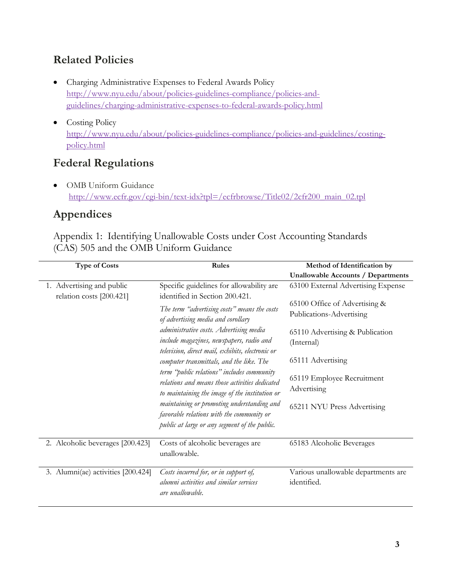# **Related Policies**

- Charging Administrative Expenses to Federal Awards Policy [http://www.nyu.edu/about/policies-guidelines-compliance/policies-and](http://www.nyu.edu/about/policies-guidelines-compliance/policies-and-guidelines/charging-administrative-expenses-to-federal-awards-policy.html)[guidelines/charging-administrative-expenses-to-federal-awards-policy.html](http://www.nyu.edu/about/policies-guidelines-compliance/policies-and-guidelines/charging-administrative-expenses-to-federal-awards-policy.html)
- Costing Policy [http://www.nyu.edu/about/policies-guidelines-compliance/policies-and-guidelines/costing](http://www.nyu.edu/about/policies-guidelines-compliance/policies-and-guidelines/costing-policy.html)[policy.html](http://www.nyu.edu/about/policies-guidelines-compliance/policies-and-guidelines/costing-policy.html)

## **Federal Regulations**

• OMB Uniform Guidance [http://www.ecfr.gov/cgi-bin/text-idx?tpl=/ecfrbrowse/Title02/2cfr200\\_main\\_02.tpl](http://www.ecfr.gov/cgi-bin/text-idx?tpl=/ecfrbrowse/Title02/2cfr200_main_02.tpl)

## **Appendices**

Appendix 1: Identifying Unallowable Costs under Cost Accounting Standards (CAS) 505 and the OMB Uniform Guidance

| <b>Type of Costs</b>               | <b>Rules</b>                                                                                                                                   | Method of Identification by               |
|------------------------------------|------------------------------------------------------------------------------------------------------------------------------------------------|-------------------------------------------|
|                                    |                                                                                                                                                | <b>Unallowable Accounts / Departments</b> |
| 1. Advertising and public          | Specific guidelines for allowability are                                                                                                       | 63100 External Advertising Expense        |
| relation costs [200.421]           | identified in Section 200.421.                                                                                                                 |                                           |
|                                    | The term "advertising costs" means the costs                                                                                                   | 65100 Office of Advertising &             |
|                                    | of advertising media and corollary                                                                                                             | Publications-Advertising                  |
|                                    | administrative costs. Advertising media                                                                                                        | 65110 Advertising & Publication           |
|                                    | include magazines, newspapers, radio and<br>television, direct mail, exhibits, electronic or                                                   | (Internal)                                |
|                                    | computer transmittals, and the like. The                                                                                                       | 65111 Advertising                         |
|                                    | term "public relations" includes community<br>relations and means those activities dedicated<br>to maintaining the image of the institution or | 65119 Employee Recruitment<br>Advertising |
|                                    | maintaining or promoting understanding and<br>favorable relations with the community or<br>public at large or any segment of the public.       | 65211 NYU Press Advertising               |
| 2. Alcoholic beverages [200.423]   | Costs of alcoholic beverages are<br>unallowable.                                                                                               | 65183 Alcoholic Beverages                 |
| 3. Alumni(ae) activities [200.424] | Costs incurred for, or in support of,                                                                                                          | Various unallowable departments are       |
|                                    | alumni activities and similar services<br>are unallowable.                                                                                     | identified.                               |
|                                    |                                                                                                                                                |                                           |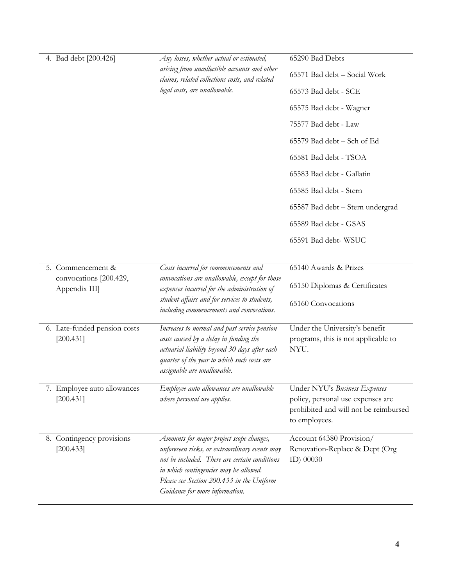| 4. Bad debt [200.426]                     | Any losses, whether actual or estimated,                                                                                                                                                                                                                            | 65290 Bad Debts                                                                                                              |
|-------------------------------------------|---------------------------------------------------------------------------------------------------------------------------------------------------------------------------------------------------------------------------------------------------------------------|------------------------------------------------------------------------------------------------------------------------------|
|                                           | arising from uncollectible accounts and other<br>claims, related collections costs, and related<br>legal costs, are unallowable.                                                                                                                                    | 65571 Bad debt - Social Work                                                                                                 |
|                                           |                                                                                                                                                                                                                                                                     | 65573 Bad debt - SCE                                                                                                         |
|                                           |                                                                                                                                                                                                                                                                     | 65575 Bad debt - Wagner                                                                                                      |
|                                           |                                                                                                                                                                                                                                                                     | 75577 Bad debt - Law                                                                                                         |
|                                           |                                                                                                                                                                                                                                                                     | 65579 Bad debt - Sch of Ed                                                                                                   |
|                                           |                                                                                                                                                                                                                                                                     | 65581 Bad debt - TSOA                                                                                                        |
|                                           |                                                                                                                                                                                                                                                                     | 65583 Bad debt - Gallatin                                                                                                    |
|                                           |                                                                                                                                                                                                                                                                     | 65585 Bad debt - Stern                                                                                                       |
|                                           |                                                                                                                                                                                                                                                                     | 65587 Bad debt - Stern undergrad                                                                                             |
|                                           |                                                                                                                                                                                                                                                                     | 65589 Bad debt - GSAS                                                                                                        |
|                                           |                                                                                                                                                                                                                                                                     | 65591 Bad debt-WSUC                                                                                                          |
|                                           |                                                                                                                                                                                                                                                                     |                                                                                                                              |
| 5. Commencement &                         | Costs incurred for commencements and<br>convocations are unallowable, except for those<br>expenses incurred for the administration of                                                                                                                               | 65140 Awards & Prizes                                                                                                        |
| convocations [200.429,<br>Appendix III    |                                                                                                                                                                                                                                                                     | 65150 Diplomas & Certificates                                                                                                |
|                                           | student affairs and for services to students,<br>including commencements and convocations.                                                                                                                                                                          | 65160 Convocations                                                                                                           |
| 6. Late-funded pension costs<br>[200.431] | Increases to normal and past service pension<br>costs caused by a delay in funding the<br>actuarial liability beyond 30 days after each<br>quarter of the year to which such costs are<br>assignable are unallowable.                                               | Under the University's benefit<br>programs, this is not applicable to<br>NYU.                                                |
| 7. Employee auto allowances<br>[200.431]  | Employee auto allowances are unallowable<br>where personal use applies.                                                                                                                                                                                             | Under NYU's Business Expenses<br>policy, personal use expenses are<br>prohibited and will not be reimbursed<br>to employees. |
| 8. Contingency provisions<br>[200.433]    | Amounts for major project scope changes,<br>unforeseen risks, or extraordinary events may<br>not be included. There are certain conditions<br>in which contingencies may be allowed.<br>Please see Section 200.433 in the Uniform<br>Guidance for more information. | Account 64380 Provision/<br>Renovation-Replace & Dept (Org<br>ID) 00030                                                      |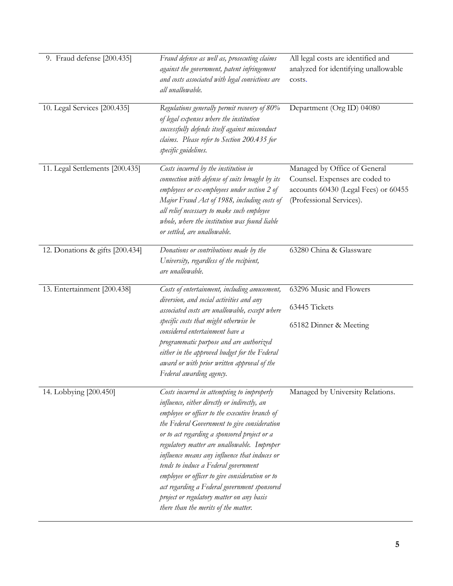| 9. Fraud defense [200.435]      | Fraud defense as well as, prosecuting claims<br>against the government, patent infringement<br>and costs associated with legal convictions are<br>all unallowable.                                                                                                                                                                                                                                                                                                                                                                                                           | All legal costs are identified and<br>analyzed for identifying unallowable<br>costs.                                               |
|---------------------------------|------------------------------------------------------------------------------------------------------------------------------------------------------------------------------------------------------------------------------------------------------------------------------------------------------------------------------------------------------------------------------------------------------------------------------------------------------------------------------------------------------------------------------------------------------------------------------|------------------------------------------------------------------------------------------------------------------------------------|
| 10. Legal Services [200.435]    | Regulations generally permit recovery of 80%<br>of legal expenses where the institution<br>successfully defends itself against misconduct<br>claims. Please refer to Section 200.435 for<br>specific guidelines.                                                                                                                                                                                                                                                                                                                                                             | Department (Org ID) 04080                                                                                                          |
| 11. Legal Settlements [200.435] | Costs incurred by the institution in<br>connection with defense of suits brought by its<br>employees or ex-employees under section 2 of<br>Major Fraud Act of 1988, including costs of<br>all relief necessary to make such employee<br>whole, where the institution was found liable<br>or settled, are unallowable.                                                                                                                                                                                                                                                        | Managed by Office of General<br>Counsel. Expenses are coded to<br>accounts 60430 (Legal Fees) or 60455<br>(Professional Services). |
| 12. Donations & gifts [200.434] | Donations or contributions made by the<br>University, regardless of the recipient,<br>are unallowable.                                                                                                                                                                                                                                                                                                                                                                                                                                                                       | 63280 China & Glassware                                                                                                            |
| 13. Entertainment [200.438]     | Costs of entertainment, including amusement,<br>diversion, and social activities and any<br>associated costs are unallowable, except where<br>specific costs that might otherwise be<br>considered entertainment have a<br>programmatic purpose and are authorized<br>either in the approved budget for the Federal<br>award or with prior written approval of the<br>Federal awarding agency.                                                                                                                                                                               | 63296 Music and Flowers<br>63445 Tickets<br>65182 Dinner & Meeting                                                                 |
| 14. Lobbying [200.450]          | Costs incurred in attempting to improperly<br>influence, either directly or indirectly, an<br>employee or officer to the executive branch of<br>the Federal Government to give consideration<br>or to act regarding a sponsored project or a<br>regulatory matter are unallowable. Improper<br>influence means any influence that induces or<br>tends to induce a Federal government<br>employee or officer to give consideration or to<br>act regarding a Federal government sponsored<br>project or regulatory matter on any basis<br>there than the merits of the matter. | Managed by University Relations.                                                                                                   |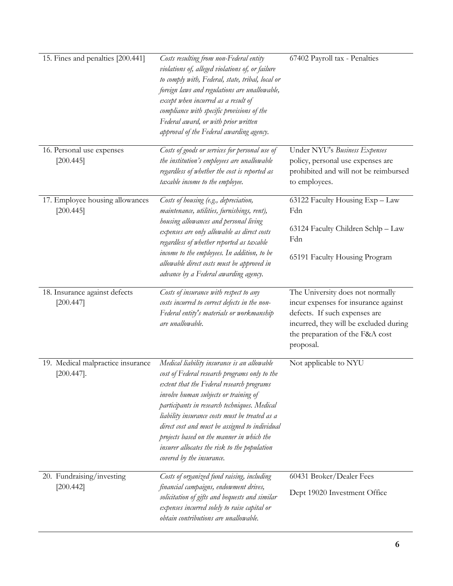| 15. Fines and penalties [200.441]                  | Costs resulting from non-Federal entity<br>violations of, alleged violations of, or failure<br>to comply with, Federal, state, tribal, local or<br>foreign laws and regulations are unallowable,<br>except when incurred as a result of<br>compliance with specific provisions of the<br>Federal award, or with prior written<br>approval of the Federal awarding agency.                                                                                        | 67402 Payroll tax - Penalties                                                                                                                                                                       |
|----------------------------------------------------|------------------------------------------------------------------------------------------------------------------------------------------------------------------------------------------------------------------------------------------------------------------------------------------------------------------------------------------------------------------------------------------------------------------------------------------------------------------|-----------------------------------------------------------------------------------------------------------------------------------------------------------------------------------------------------|
| 16. Personal use expenses<br>[200.445]             | Costs of goods or services for personal use of<br>the institution's employees are unallowable<br>regardless of whether the cost is reported as<br>taxable income to the employee.                                                                                                                                                                                                                                                                                | Under NYU's Business Expenses<br>policy, personal use expenses are<br>prohibited and will not be reimbursed<br>to employees.                                                                        |
| 17. Employee housing allowances<br>[200.445]       | Costs of housing (e.g., depreciation,<br>maintenance, utilities, furnishings, rent),<br>housing allowances and personal living<br>expenses are only allowable as direct costs<br>regardless of whether reported as taxable<br>income to the employees. In addition, to be<br>allowable direct costs must be approved in<br>advance by a Federal awarding agency.                                                                                                 | 63122 Faculty Housing Exp - Law<br>Fdn<br>63124 Faculty Children Schlp - Law<br>Fdn<br>65191 Faculty Housing Program                                                                                |
| 18. Insurance against defects<br>[200.447]         | Costs of insurance with respect to any<br>costs incurred to correct defects in the non-<br>Federal entity's materials or workmanship<br>are unallowable.                                                                                                                                                                                                                                                                                                         | The University does not normally<br>incur expenses for insurance against<br>defects. If such expenses are<br>incurred, they will be excluded during<br>the preparation of the F&A cost<br>proposal. |
| 19. Medical malpractice insurance<br>$[200.447]$ . | Medical liability insurance is an allowable<br>cost of Federal research programs only to the<br>extent that the Federal research programs<br>involve human subjects or training of<br>participants in research techniques. Medical<br>liability insurance costs must be treated as a<br>direct cost and must be assigned to individual<br>projects based on the manner in which the<br>insurer allocates the risk to the population<br>covered by the insurance. | Not applicable to NYU                                                                                                                                                                               |
| 20. Fundraising/investing<br>[200.442]             | Costs of organized fund raising, including<br>financial campaigns, endowment drives,<br>solicitation of gifts and bequests and similar<br>expenses incurred solely to raise capital or<br>obtain contributions are unallowable.                                                                                                                                                                                                                                  | 60431 Broker/Dealer Fees<br>Dept 19020 Investment Office                                                                                                                                            |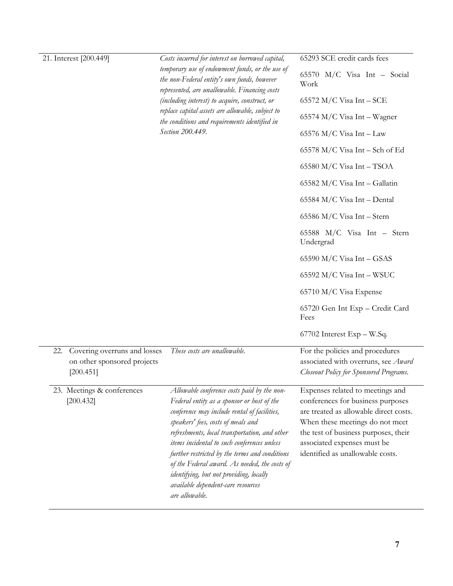|     | 21. Interest [200.449]                                                   | Costs incurred for interest on borrowed capital,<br>temporary use of endowment funds, or the use of<br>the non-Federal entity's own funds, however<br>represented, are unallowable. Financing costs<br>(including interest) to acquire, construct, or<br>replace capital assets are allowable, subject to<br>the conditions and requirements identified in<br>Section 200.449.                                                                                                        | 65293 SCE credit cards fees<br>65570 M/C Visa Int - Social<br>Work<br>$65572$ M/C Visa Int – SCE<br>$65574$ M/C Visa Int – Wagner<br>65576 M/C Visa Int - Law<br>$65578$ M/C Visa Int – Sch of Ed<br>$65580$ M/C Visa Int - TSOA<br>65582 M/C Visa Int - Gallatin<br>65584 M/C Visa Int - Dental<br>65586 M/C Visa Int - Stern<br>65588 $M/C$ Visa Int - Stern<br>Undergrad<br>$65590$ M/C Visa Int - GSAS<br>$65592$ M/C Visa Int - WSUC<br>65710 M/C Visa Expense<br>65720 Gen Int Exp - Credit Card<br>Fees |
|-----|--------------------------------------------------------------------------|---------------------------------------------------------------------------------------------------------------------------------------------------------------------------------------------------------------------------------------------------------------------------------------------------------------------------------------------------------------------------------------------------------------------------------------------------------------------------------------|----------------------------------------------------------------------------------------------------------------------------------------------------------------------------------------------------------------------------------------------------------------------------------------------------------------------------------------------------------------------------------------------------------------------------------------------------------------------------------------------------------------|
| 22. | Covering overruns and losses<br>on other sponsored projects<br>[200.451] | These costs are unallowable.                                                                                                                                                                                                                                                                                                                                                                                                                                                          | 67702 Interest Exp - W.Sq.<br>For the policies and procedures<br>associated with overruns, see Award<br>Closeout Policy for Sponsored Programs.                                                                                                                                                                                                                                                                                                                                                                |
|     | 23. Meetings & conferences<br>[200.432]                                  | Allowable conference costs paid by the non-<br>Federal entity as a sponsor or host of the<br>conference may include rental of facilities,<br>speakers' fees, costs of meals and<br>refreshments, local transportation, and other<br>items incidental to such conferences unless<br>further restricted by the terms and conditions<br>of the Federal award. As needed, the costs of<br>identifying, but not providing, locally<br>available dependent-care resources<br>are allowable. | Expenses related to meetings and<br>conferences for business purposes<br>are treated as allowable direct costs.<br>When these meetings do not meet<br>the test of business purposes, their<br>associated expenses must be<br>identified as unallowable costs.                                                                                                                                                                                                                                                  |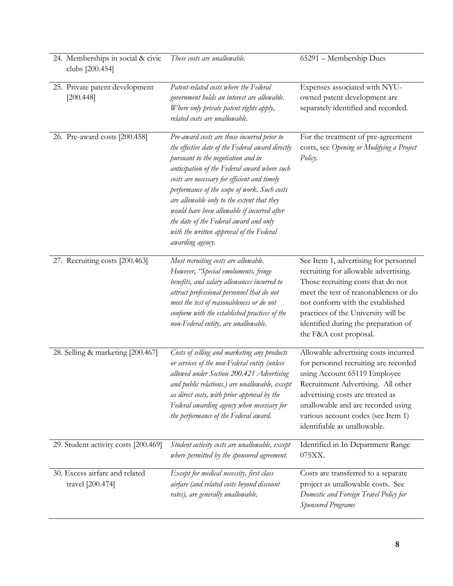| 24. Memberships in social & civic<br>clubs [200.454] | These costs are unallowable.                                                                                                                                                                                                                                                                                                                                                                                                                                                                 | 65291 - Membership Dues                                                                                                                                                                                                                                                                                    |
|------------------------------------------------------|----------------------------------------------------------------------------------------------------------------------------------------------------------------------------------------------------------------------------------------------------------------------------------------------------------------------------------------------------------------------------------------------------------------------------------------------------------------------------------------------|------------------------------------------------------------------------------------------------------------------------------------------------------------------------------------------------------------------------------------------------------------------------------------------------------------|
| 25. Private patent development<br>[200.448]          | Patent-related costs where the Federal<br>government holds an interest are allowable.<br>Where only private patent rights apply,<br>related costs are unallowable.                                                                                                                                                                                                                                                                                                                           | Expenses associated with NYU-<br>owned patent development are<br>separately identified and recorded.                                                                                                                                                                                                       |
| 26. Pre-award costs [200.458]                        | Pre-award costs are those incurred prior to<br>the effective date of the Federal award directly<br>pursuant to the negotiation and in<br>anticipation of the Federal award where such<br>costs are necessary for efficient and timely<br>performance of the scope of work. Such costs<br>are allowable only to the extent that they<br>would have been allowable if incurred after<br>the date of the Federal award and only<br>with the written approval of the Federal<br>awarding agency. | For the treatment of pre-agreement<br>costs, see Opening or Modifying a Project<br>Policy.                                                                                                                                                                                                                 |
| 27. Recruiting costs [200.463]                       | Most recruiting costs are allowable.<br>However, "Special emoluments, fringe<br>benefits, and salary allowances incurred to<br>attract professional personnel that do not<br>meet the test of reasonableness or do not<br>conform with the established practices of the<br>non-Federal entity, are unallowable.                                                                                                                                                                              | See Item 1, advertising for personnel<br>recruiting for allowable advertising.<br>Those recruiting costs that do not<br>meet the test of reasonableness or do<br>not conform with the established<br>practices of the University will be<br>identified during the preparation of<br>the F&A cost proposal. |
| 28. Selling & marketing [200.467]                    | Costs of selling and marketing any products<br>or services of the non-Federal entity (unless<br>allowed under Section 200.421 Advertising<br>and public relations.) are unallowable, except<br>as direct costs, with prior approval by the<br>Federal awarding agency when necessary for<br>the performance of the Federal award.                                                                                                                                                            | Allowable advertising costs incurred<br>for personnel recruiting are recorded<br>using Account 65119 Employee<br>Recruitment Advertising. All other<br>advertising costs are treated as<br>unallowable and are recorded using<br>various account codes (see Item 1)<br>identifiable as unallowable.        |
| 29. Student activity costs [200.469]                 | Student activity costs are unallowable, except<br>where permitted by the sponsored agreement.                                                                                                                                                                                                                                                                                                                                                                                                | Identified in In Department Range<br>075XX.                                                                                                                                                                                                                                                                |
| 30. Excess airfare and related<br>travel [200.474]   | Except for medical necessity, first class<br>airfare (and related costs beyond discount<br>rates), are generally unallowable.                                                                                                                                                                                                                                                                                                                                                                | Costs are transferred to a separate<br>project as unallowable costs. See<br>Domestic and Foreign Travel Policy for<br><b>Sponsored Programs</b>                                                                                                                                                            |